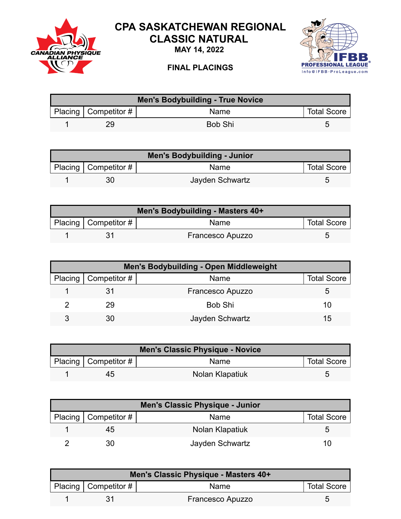

## **CPA SASKATCHEWAN REGIONAL CLASSIC NATURAL**

**MAY 14, 2022**



## **FINAL PLACINGS**

| Men's Bodybuilding - True Novice |                          |             |                    |  |
|----------------------------------|--------------------------|-------------|--------------------|--|
|                                  | Placing   Competitor $#$ | <b>Name</b> | <b>Total Score</b> |  |
|                                  | 29                       | Bob Shi     |                    |  |

| Men's Bodybuilding - Junior |                        |                 |                    |  |
|-----------------------------|------------------------|-----------------|--------------------|--|
|                             | Placing   Competitor # | Name            | <b>Total Score</b> |  |
|                             | 30                     | Jayden Schwartz | ∽                  |  |

| Men's Bodybuilding - Masters 40+ |                          |                         |                    |  |
|----------------------------------|--------------------------|-------------------------|--------------------|--|
|                                  | Placing   Competitor $#$ | <b>Name</b>             | <b>Total Score</b> |  |
|                                  |                          | <b>Francesco Apuzzo</b> |                    |  |

| <b>Men's Bodybuilding - Open Middleweight</b> |                        |                  |                    |  |
|-----------------------------------------------|------------------------|------------------|--------------------|--|
|                                               | Placing   Competitor # | Name             | <b>Total Score</b> |  |
|                                               |                        | Francesco Apuzzo |                    |  |
|                                               | 29                     | Bob Shi          | 10                 |  |
|                                               | 30                     | Jayden Schwartz  | 15                 |  |

| <b>Men's Classic Physique - Novice</b> |                        |                 |                    |  |
|----------------------------------------|------------------------|-----------------|--------------------|--|
|                                        | Placing   Competitor # | Name            | <b>Total Score</b> |  |
|                                        | 45                     | Nolan Klapatiuk |                    |  |

| <b>Men's Classic Physique - Junior</b> |                        |                 |                    |  |
|----------------------------------------|------------------------|-----------------|--------------------|--|
|                                        | Placing   Competitor # | <b>Name</b>     | <b>Total Score</b> |  |
|                                        | 45                     | Nolan Klapatiuk | G                  |  |
|                                        | 30                     | Jayden Schwartz | 1 O J              |  |

| Men's Classic Physique - Masters 40+ |                        |                         |                    |  |
|--------------------------------------|------------------------|-------------------------|--------------------|--|
|                                      | Placing   Competitor # | <b>Name</b>             | <b>Total Score</b> |  |
|                                      |                        | <b>Francesco Apuzzo</b> |                    |  |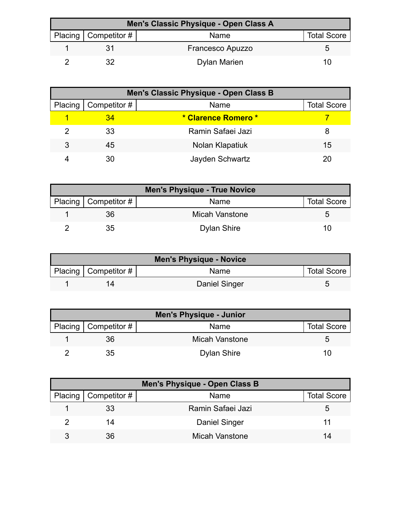| Men's Classic Physique - Open Class A |                        |                         |                    |  |
|---------------------------------------|------------------------|-------------------------|--------------------|--|
|                                       | Placing   Competitor # | Name                    | <b>Total Score</b> |  |
|                                       |                        | <b>Francesco Apuzzo</b> |                    |  |
|                                       |                        | <b>Dylan Marien</b>     | I ( )              |  |

| Men's Classic Physique - Open Class B |              |                     |                    |  |
|---------------------------------------|--------------|---------------------|--------------------|--|
| <b>Placing</b>                        | Competitor # | Name                | <b>Total Score</b> |  |
|                                       | 34           | * Clarence Romero * |                    |  |
|                                       | 33           | Ramin Safaei Jazi   |                    |  |
| 3                                     | 45           | Nolan Klapatiuk     | 15                 |  |
|                                       | 30           | Jayden Schwartz     |                    |  |

| <b>Men's Physique - True Novice</b> |                        |                    |                    |  |
|-------------------------------------|------------------------|--------------------|--------------------|--|
|                                     | Placing   Competitor # | Name               | <b>Total Score</b> |  |
|                                     | 36                     | Micah Vanstone     |                    |  |
|                                     | 35                     | <b>Dylan Shire</b> | 10                 |  |

| <b>Men's Physique - Novice</b> |                        |               |                    |  |
|--------------------------------|------------------------|---------------|--------------------|--|
|                                | Placing   Competitor # | Name          | <b>Total Score</b> |  |
|                                |                        | Daniel Singer |                    |  |

| <b>Men's Physique - Junior</b> |                        |                       |                    |  |
|--------------------------------|------------------------|-----------------------|--------------------|--|
|                                | Placing   Competitor # | Name                  | <b>Total Score</b> |  |
|                                | 36                     | <b>Micah Vanstone</b> |                    |  |
|                                | 35                     | <b>Dylan Shire</b>    | 10                 |  |

| Men's Physique - Open Class B |                        |                      |                    |  |
|-------------------------------|------------------------|----------------------|--------------------|--|
|                               | Placing   Competitor # | Name                 | <b>Total Score</b> |  |
|                               | 33                     | Ramin Safaei Jazi    | G                  |  |
|                               | 14                     | <b>Daniel Singer</b> | 11                 |  |
|                               | 36                     | Micah Vanstone       | 14                 |  |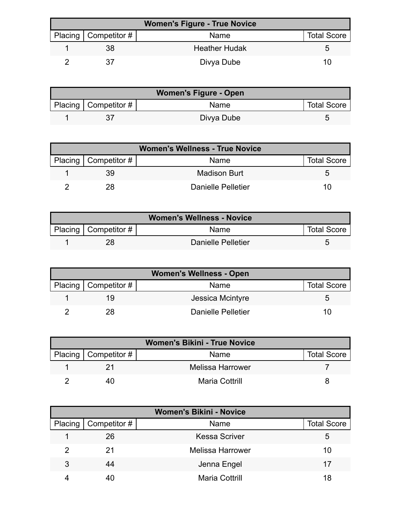| <b>Women's Figure - True Novice</b> |                          |                      |                    |  |
|-------------------------------------|--------------------------|----------------------|--------------------|--|
|                                     | Placing   Competitor $#$ | Name                 | <b>Total Score</b> |  |
|                                     | 38                       | <b>Heather Hudak</b> |                    |  |
|                                     |                          | Divya Dube           | 11)                |  |

| <b>Women's Figure - Open</b> |                          |            |                    |  |
|------------------------------|--------------------------|------------|--------------------|--|
|                              | Placing   Competitor $#$ | Name       | <b>Total Score</b> |  |
|                              |                          | Divya Dube |                    |  |

| <b>Women's Wellness - True Novice</b> |                          |                     |                    |
|---------------------------------------|--------------------------|---------------------|--------------------|
|                                       | Placing   Competitor $#$ | Name                | <b>Total Score</b> |
|                                       | 39                       | <b>Madison Burt</b> |                    |
|                                       | 28                       | Danielle Pelletier  | 10                 |

| <b>Women's Wellness - Novice</b> |                          |                    |                    |  |
|----------------------------------|--------------------------|--------------------|--------------------|--|
|                                  | Placing   Competitor $#$ | Name               | <b>Total Score</b> |  |
|                                  |                          | Danielle Pelletier |                    |  |

| <b>Women's Wellness - Open</b> |                          |                    |                    |  |
|--------------------------------|--------------------------|--------------------|--------------------|--|
|                                | Placing   Competitor $#$ | Name               | <b>Total Score</b> |  |
|                                |                          | Jessica Mcintyre   |                    |  |
|                                | 28                       | Danielle Pelletier |                    |  |

| <b>Women's Bikini - True Novice</b> |                        |                       |                    |  |
|-------------------------------------|------------------------|-----------------------|--------------------|--|
|                                     | Placing   Competitor # | Name                  | <b>Total Score</b> |  |
|                                     |                        | Melissa Harrower      |                    |  |
|                                     |                        | <b>Maria Cottrill</b> |                    |  |

| <b>Women's Bikini - Novice</b> |                        |                         |                    |  |
|--------------------------------|------------------------|-------------------------|--------------------|--|
|                                | Placing   Competitor # | Name                    | <b>Total Score</b> |  |
|                                | 26                     | <b>Kessa Scriver</b>    | ა                  |  |
|                                | 21                     | <b>Melissa Harrower</b> | 10                 |  |
| 3                              | 44                     | Jenna Engel             | 17                 |  |
|                                |                        | <b>Maria Cottrill</b>   | 18                 |  |